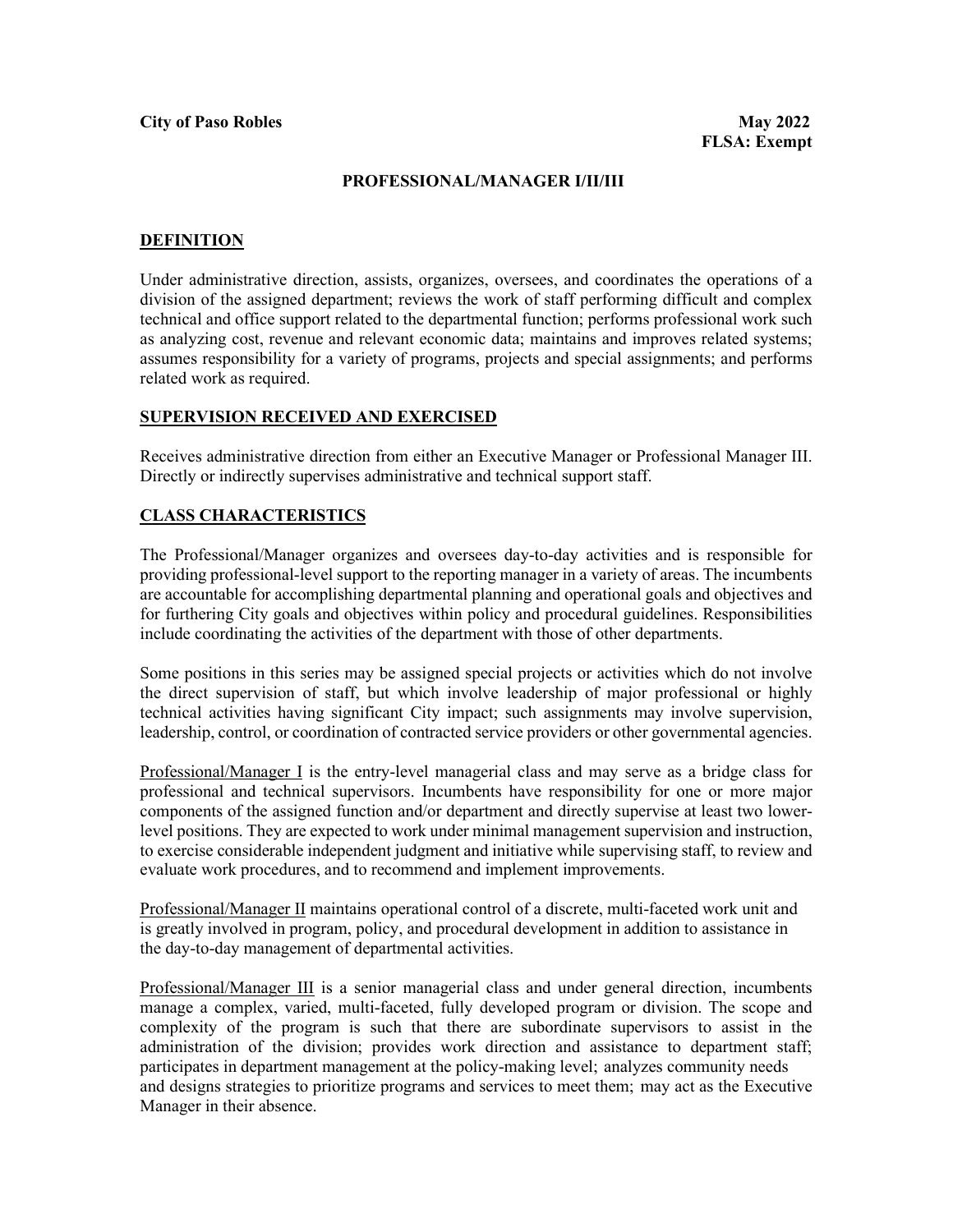#### **PROFESSIONAL/MANAGER I/II/III**

#### **DEFINITION**

Under administrative direction, assists, organizes, oversees, and coordinates the operations of a division of the assigned department; reviews the work of staff performing difficult and complex technical and office support related to the departmental function; performs professional work such as analyzing cost, revenue and relevant economic data; maintains and improves related systems; assumes responsibility for a variety of programs, projects and special assignments; and performs related work as required.

#### **SUPERVISION RECEIVED AND EXERCISED**

Receives administrative direction from either an Executive Manager or Professional Manager III. Directly or indirectly supervises administrative and technical support staff.

#### **CLASS CHARACTERISTICS**

The Professional/Manager organizes and oversees day-to-day activities and is responsible for providing professional-level support to the reporting manager in a variety of areas. The incumbents are accountable for accomplishing departmental planning and operational goals and objectives and for furthering City goals and objectives within policy and procedural guidelines. Responsibilities include coordinating the activities of the department with those of other departments.

Some positions in this series may be assigned special projects or activities which do not involve the direct supervision of staff, but which involve leadership of major professional or highly technical activities having significant City impact; such assignments may involve supervision, leadership, control, or coordination of contracted service providers or other governmental agencies.

Professional/Manager I is the entry-level managerial class and may serve as a bridge class for professional and technical supervisors. Incumbents have responsibility for one or more major components of the assigned function and/or department and directly supervise at least two lowerlevel positions. They are expected to work under minimal management supervision and instruction, to exercise considerable independent judgment and initiative while supervising staff, to review and evaluate work procedures, and to recommend and implement improvements.

Professional/Manager II maintains operational control of a discrete, multi-faceted work unit and is greatly involved in program, policy, and procedural development in addition to assistance in the day-to-day management of departmental activities.

Professional/Manager III is a senior managerial class and under general direction, incumbents manage a complex, varied, multi-faceted, fully developed program or division. The scope and complexity of the program is such that there are subordinate supervisors to assist in the administration of the division; provides work direction and assistance to department staff; participates in department management at the policy-making level; analyzes community needs and designs strategies to prioritize programs and services to meet them; may act as the Executive Manager in their absence.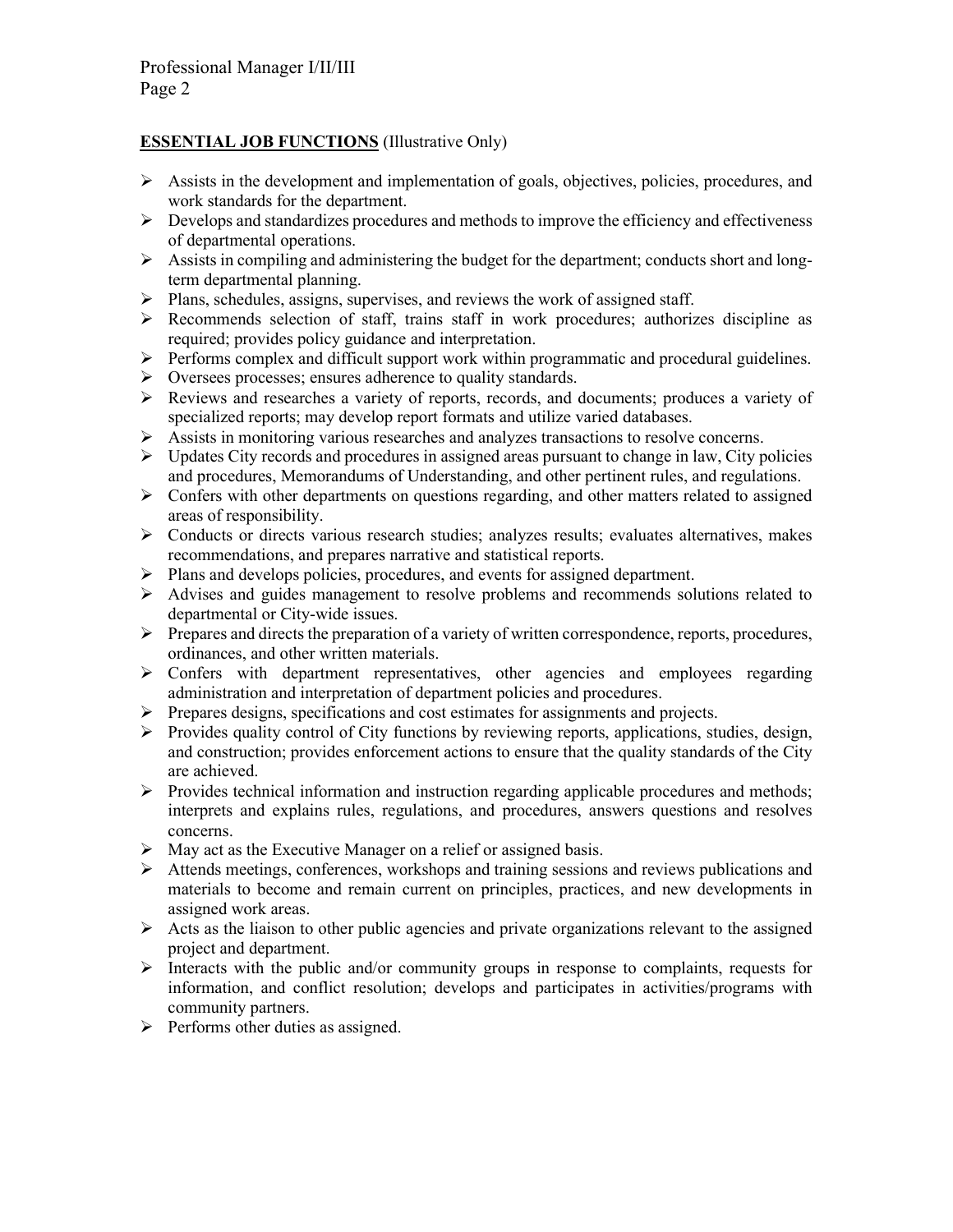# **ESSENTIAL JOB FUNCTIONS** (Illustrative Only)

- $\triangleright$  Assists in the development and implementation of goals, objectives, policies, procedures, and work standards for the department.
- $\triangleright$  Develops and standardizes procedures and methods to improve the efficiency and effectiveness of departmental operations.
- $\triangleright$  Assists in compiling and administering the budget for the department; conducts short and longterm departmental planning.
- $\triangleright$  Plans, schedules, assigns, supervises, and reviews the work of assigned staff.
- Recommends selection of staff, trains staff in work procedures; authorizes discipline as required; provides policy guidance and interpretation.
- $\triangleright$  Performs complex and difficult support work within programmatic and procedural guidelines.
- $\triangleright$  Oversees processes; ensures adherence to quality standards.
- $\triangleright$  Reviews and researches a variety of reports, records, and documents; produces a variety of specialized reports; may develop report formats and utilize varied databases.
- Assists in monitoring various researches and analyzes transactions to resolve concerns.
- $\triangleright$  Updates City records and procedures in assigned areas pursuant to change in law, City policies and procedures, Memorandums of Understanding, and other pertinent rules, and regulations.
- $\triangleright$  Confers with other departments on questions regarding, and other matters related to assigned areas of responsibility.
- $\triangleright$  Conducts or directs various research studies; analyzes results; evaluates alternatives, makes recommendations, and prepares narrative and statistical reports.
- Plans and develops policies, procedures, and events for assigned department.
- $\triangleright$  Advises and guides management to resolve problems and recommends solutions related to departmental or City-wide issues.
- Prepares and directs the preparation of a variety of written correspondence, reports, procedures, ordinances, and other written materials.
- Confers with department representatives, other agencies and employees regarding administration and interpretation of department policies and procedures.
- $\triangleright$  Prepares designs, specifications and cost estimates for assignments and projects.
- $\triangleright$  Provides quality control of City functions by reviewing reports, applications, studies, design, and construction; provides enforcement actions to ensure that the quality standards of the City are achieved.
- $\triangleright$  Provides technical information and instruction regarding applicable procedures and methods; interprets and explains rules, regulations, and procedures, answers questions and resolves concerns.
- $\triangleright$  May act as the Executive Manager on a relief or assigned basis.
- $\triangleright$  Attends meetings, conferences, workshops and training sessions and reviews publications and materials to become and remain current on principles, practices, and new developments in assigned work areas.
- $\triangleright$  Acts as the liaison to other public agencies and private organizations relevant to the assigned project and department.
- $\triangleright$  Interacts with the public and/or community groups in response to complaints, requests for information, and conflict resolution; develops and participates in activities/programs with community partners.
- $\triangleright$  Performs other duties as assigned.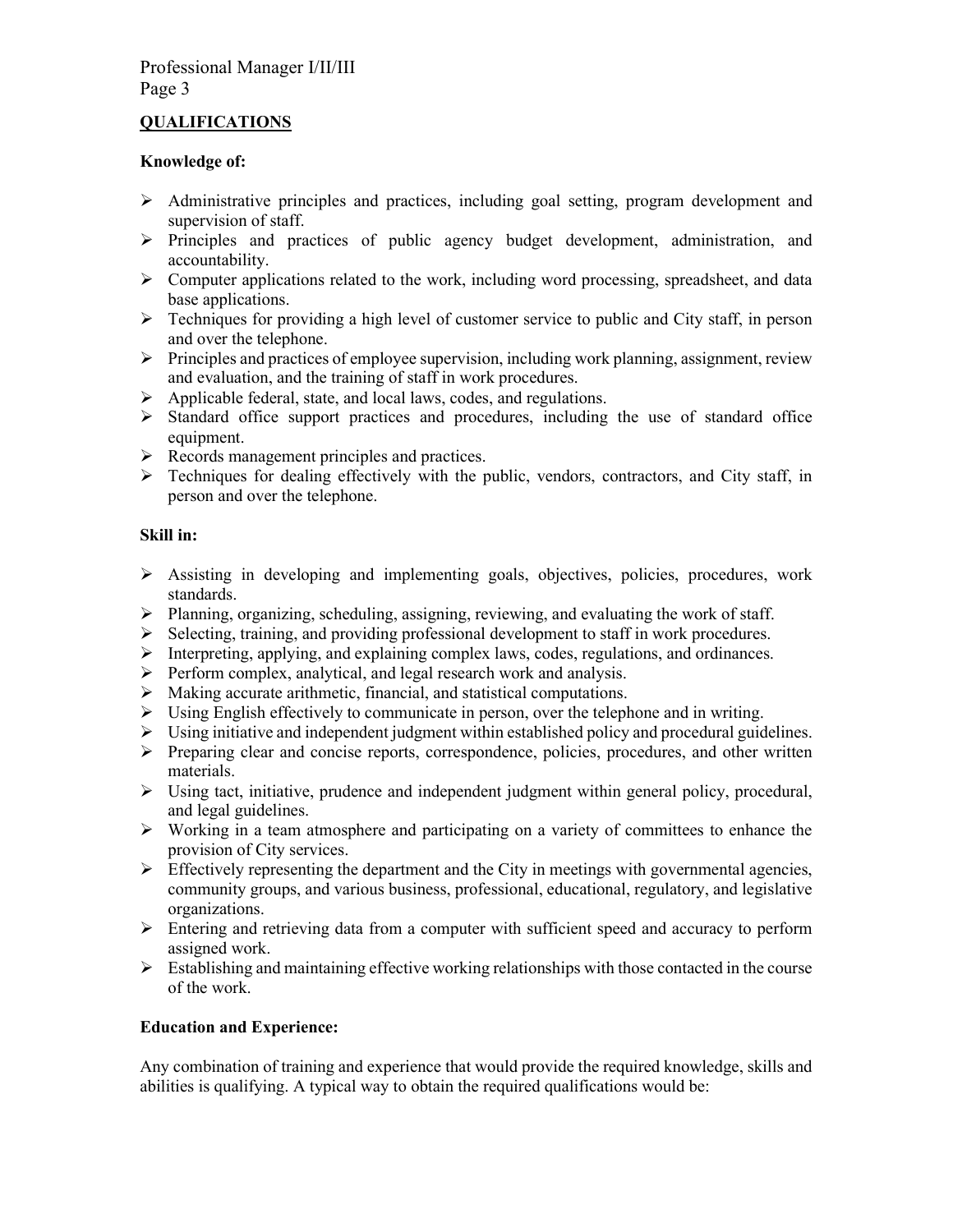## **QUALIFICATIONS**

## **Knowledge of:**

- Administrative principles and practices, including goal setting, program development and supervision of staff.
- $\triangleright$  Principles and practices of public agency budget development, administration, and accountability.
- $\triangleright$  Computer applications related to the work, including word processing, spreadsheet, and data base applications.
- $\triangleright$  Techniques for providing a high level of customer service to public and City staff, in person and over the telephone.
- $\triangleright$  Principles and practices of employee supervision, including work planning, assignment, review and evaluation, and the training of staff in work procedures.
- $\triangleright$  Applicable federal, state, and local laws, codes, and regulations.
- $\triangleright$  Standard office support practices and procedures, including the use of standard office equipment.
- $\triangleright$  Records management principles and practices.
- $\triangleright$  Techniques for dealing effectively with the public, vendors, contractors, and City staff, in person and over the telephone.

## **Skill in:**

- $\triangleright$  Assisting in developing and implementing goals, objectives, policies, procedures, work standards.
- Planning, organizing, scheduling, assigning, reviewing, and evaluating the work of staff.
- $\triangleright$  Selecting, training, and providing professional development to staff in work procedures.
- $\triangleright$  Interpreting, applying, and explaining complex laws, codes, regulations, and ordinances.
- $\triangleright$  Perform complex, analytical, and legal research work and analysis.
- $\triangleright$  Making accurate arithmetic, financial, and statistical computations.
- $\triangleright$  Using English effectively to communicate in person, over the telephone and in writing.
- $\triangleright$  Using initiative and independent judgment within established policy and procedural guidelines.
- $\triangleright$  Preparing clear and concise reports, correspondence, policies, procedures, and other written materials.
- $\triangleright$  Using tact, initiative, prudence and independent judgment within general policy, procedural, and legal guidelines.
- Working in a team atmosphere and participating on a variety of committees to enhance the provision of City services.
- $\triangleright$  Effectively representing the department and the City in meetings with governmental agencies, community groups, and various business, professional, educational, regulatory, and legislative organizations.
- $\triangleright$  Entering and retrieving data from a computer with sufficient speed and accuracy to perform assigned work.
- $\triangleright$  Establishing and maintaining effective working relationships with those contacted in the course of the work.

## **Education and Experience:**

Any combination of training and experience that would provide the required knowledge, skills and abilities is qualifying. A typical way to obtain the required qualifications would be: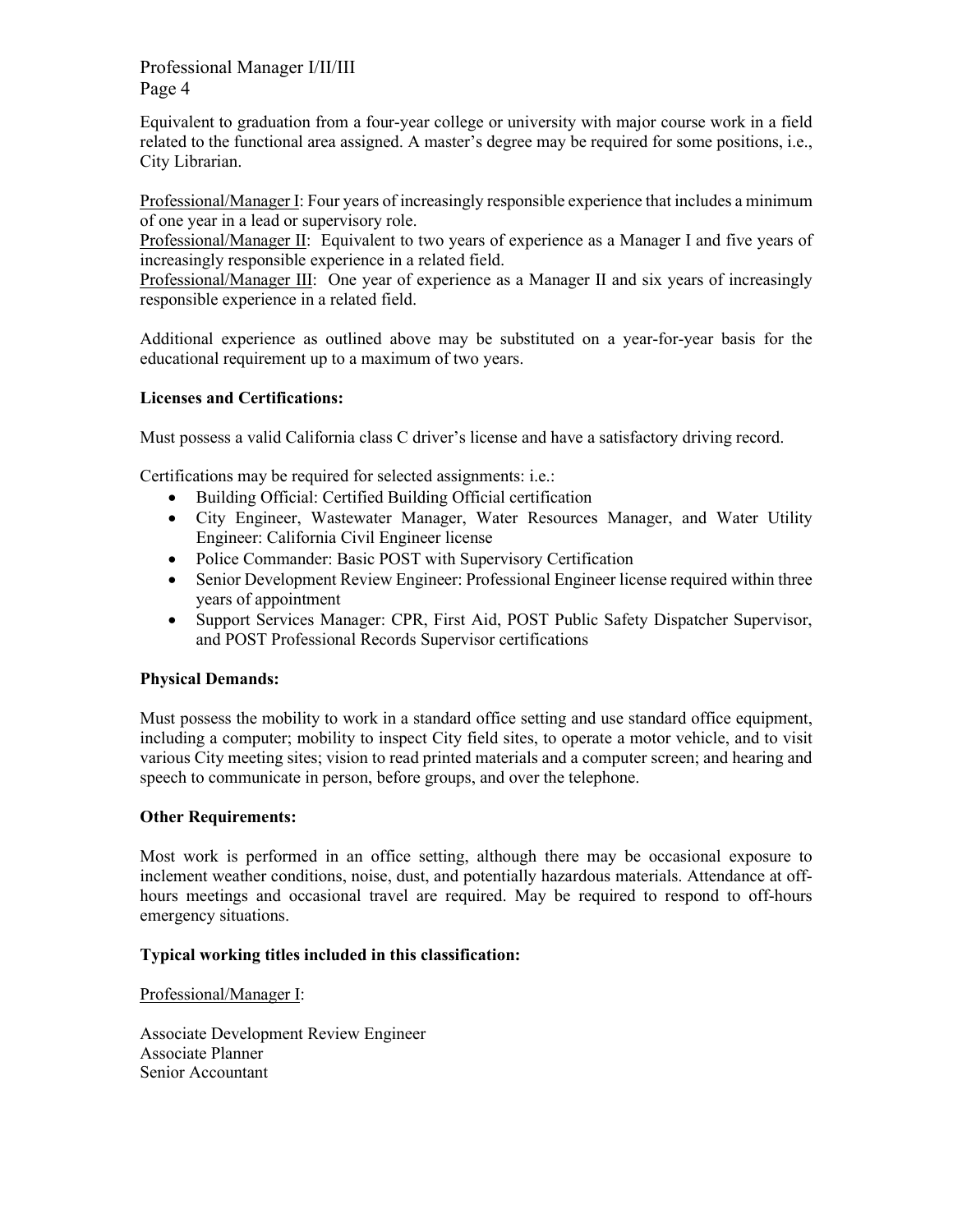# Professional Manager I/II/III Page 4

Equivalent to graduation from a four-year college or university with major course work in a field related to the functional area assigned. A master's degree may be required for some positions, i.e., City Librarian.

Professional/Manager I: Four years of increasingly responsible experience that includes a minimum of one year in a lead or supervisory role.

Professional/Manager II: Equivalent to two years of experience as a Manager I and five years of increasingly responsible experience in a related field.

Professional/Manager III: One year of experience as a Manager II and six years of increasingly responsible experience in a related field.

Additional experience as outlined above may be substituted on a year-for-year basis for the educational requirement up to a maximum of two years.

## **Licenses and Certifications:**

Must possess a valid California class C driver's license and have a satisfactory driving record.

Certifications may be required for selected assignments: i.e.:

- Building Official: Certified Building Official certification
- City Engineer, Wastewater Manager, Water Resources Manager, and Water Utility Engineer: California Civil Engineer license
- Police Commander: Basic POST with Supervisory Certification
- Senior Development Review Engineer: Professional Engineer license required within three years of appointment
- Support Services Manager: CPR, First Aid, POST Public Safety Dispatcher Supervisor, and POST Professional Records Supervisor certifications

### **Physical Demands:**

Must possess the mobility to work in a standard office setting and use standard office equipment, including a computer; mobility to inspect City field sites, to operate a motor vehicle, and to visit various City meeting sites; vision to read printed materials and a computer screen; and hearing and speech to communicate in person, before groups, and over the telephone.

### **Other Requirements:**

Most work is performed in an office setting, although there may be occasional exposure to inclement weather conditions, noise, dust, and potentially hazardous materials. Attendance at offhours meetings and occasional travel are required. May be required to respond to off-hours emergency situations.

## **Typical working titles included in this classification:**

Professional/Manager I:

Associate Development Review Engineer Associate Planner Senior Accountant